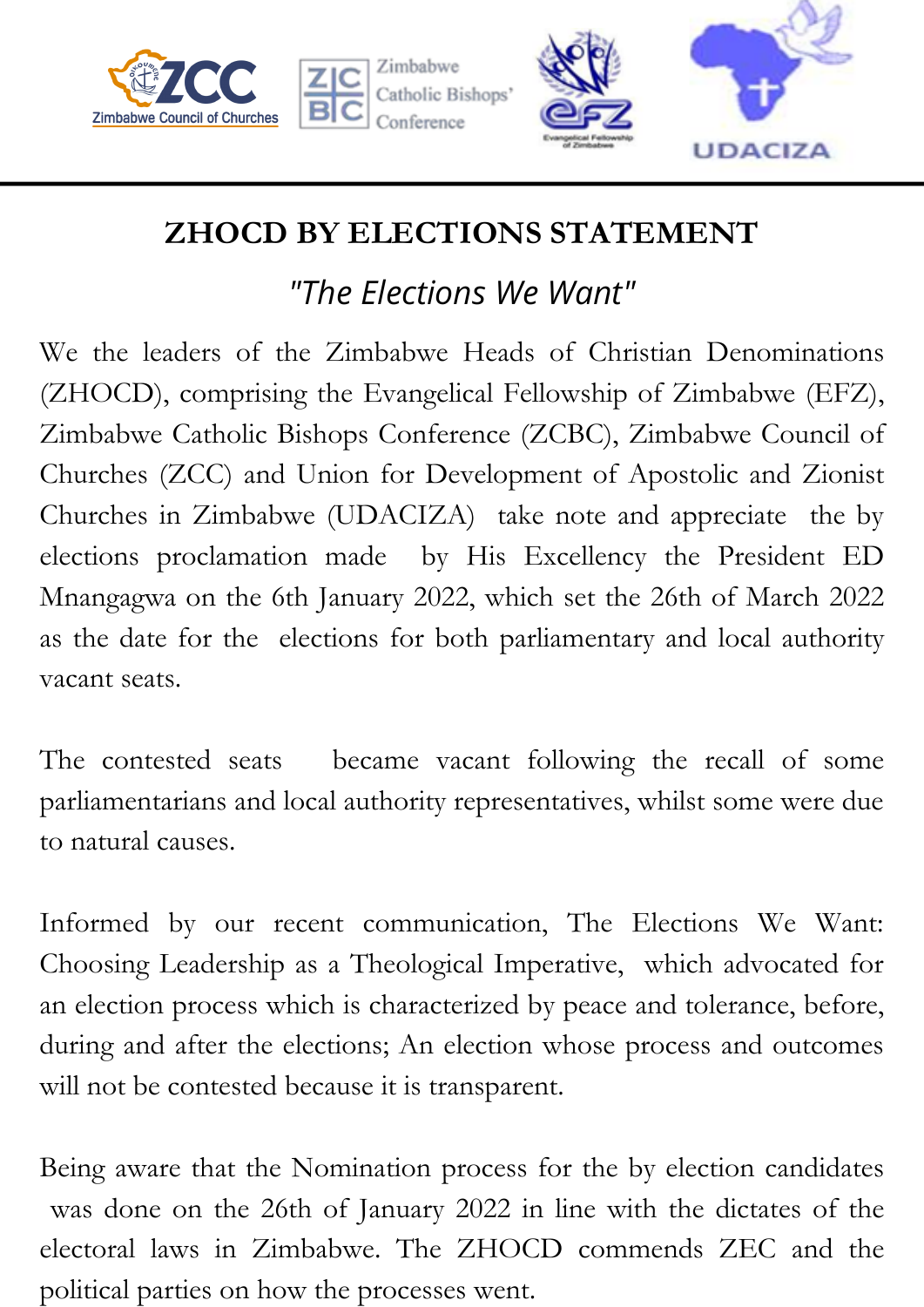







## **ZHOCD BY ELECTIONS STATEMENT**

## *"The Elections We Want"*

We the leaders of the Zimbabwe Heads of Christian Denominations (ZHOCD), comprising the Evangelical Fellowship of Zimbabwe (EFZ), Zimbabwe Catholic Bishops Conference (ZCBC), Zimbabwe Council of Churches (ZCC) and Union for Development of Apostolic and Zionist Churches in Zimbabwe (UDACIZA) take note and appreciate the by elections proclamation made by His Excellency the President ED Mnangagwa on the 6th January 2022, which set the 26th of March 2022 as the date for the elections for both parliamentary and local authority vacant seats.

The contested seats became vacant following the recall of some parliamentarians and local authority representatives, whilst some were due to natural causes.

Informed by our recent communication, The Elections We Want: Choosing Leadership as a Theological Imperative, which advocated for an election process which is characterized by peace and tolerance, before, during and after the elections; An election whose process and outcomes will not be contested because it is transparent.

Being aware that the Nomination process for the by election candidates was done on the 26th of January 2022 in line with the dictates of the electoral laws in Zimbabwe. The ZHOCD commends ZEC and the political parties on how the processes went.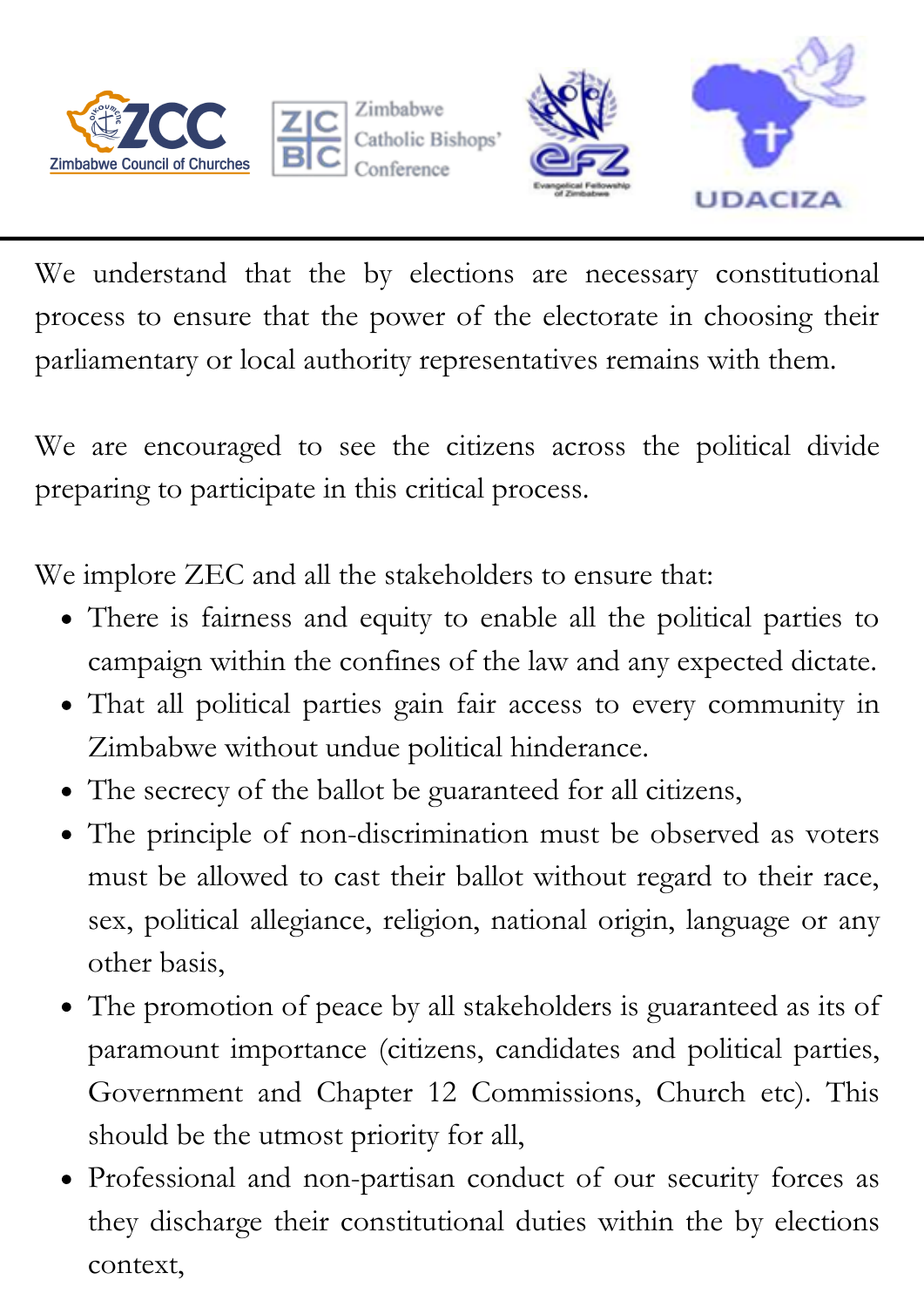



Bishops'



We understand that the by elections are necessary constitutional process to ensure that the power of the electorate in choosing their parliamentary or local authority representatives remains with them.

We are encouraged to see the citizens across the political divide preparing to participate in this critical process.

We implore ZEC and all the stakeholders to ensure that:

- There is fairness and equity to enable all the political parties to campaign within the confines of the law and any expected dictate.
- That all political parties gain fair access to every community in Zimbabwe without undue political hinderance.
- The secrecy of the ballot be guaranteed for all citizens,
- The principle of non-discrimination must be observed as voters must be allowed to cast their ballot without regard to their race, sex, political allegiance, religion, national origin, language or any other basis,
- The promotion of peace by all stakeholders is guaranteed as its of paramount importance (citizens, candidates and political parties, Government and Chapter 12 Commissions, Church etc). This should be the utmost priority for all,
- Professional and non-partisan conduct of our security forces as they discharge their constitutional duties within the by elections context,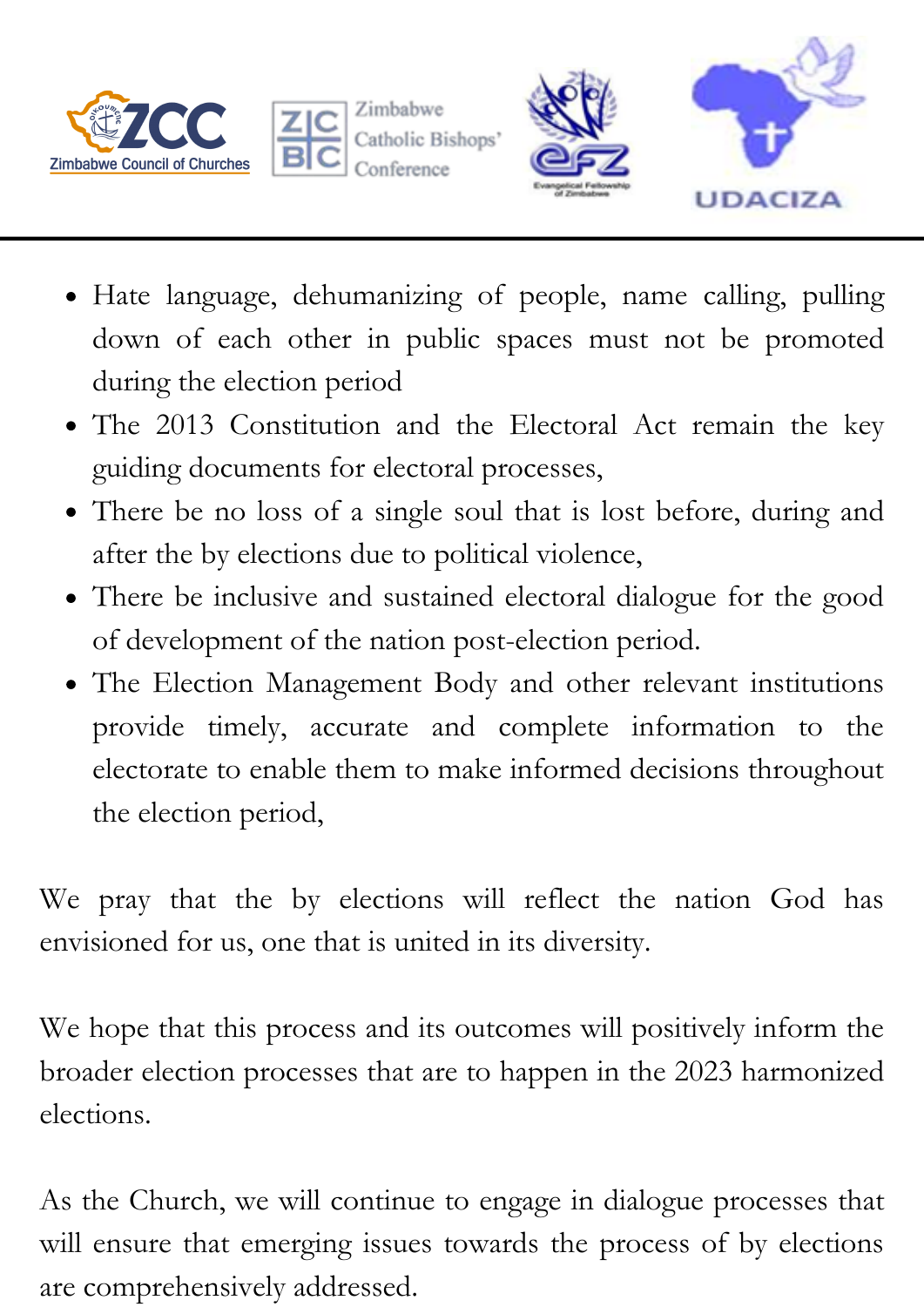



Zimbabwe Bishops'



- Hate language, dehumanizing of people, name calling, pulling down of each other in public spaces must not be promoted during the election period
- The 2013 Constitution and the Electoral Act remain the key guiding documents for electoral processes,
- There be no loss of a single soul that is lost before, during and after the by elections due to political violence,
- There be inclusive and sustained electoral dialogue for the good of development of the nation post-election period.
- The Election Management Body and other relevant institutions provide timely, accurate and complete information to the electorate to enable them to make informed decisions throughout the election period,

We pray that the by elections will reflect the nation God has envisioned for us, one that is united in its diversity.

We hope that this process and its outcomes will positively inform the broader election processes that are to happen in the 2023 harmonized elections.

As the Church, we will continue to engage in dialogue processes that will ensure that emerging issues towards the process of by elections are comprehensively addressed.